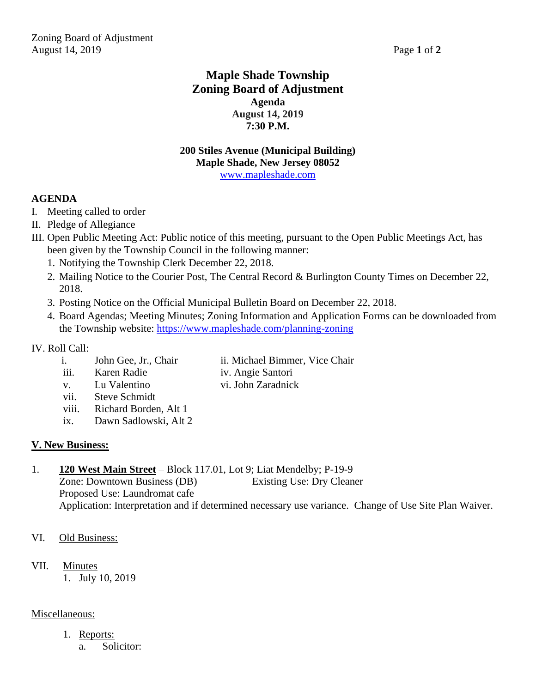## **Maple Shade Township Zoning Board of Adjustment Agenda August 14, 2019 7:30 P.M.**

#### **200 Stiles Avenue (Municipal Building) Maple Shade, New Jersey 08052** [www.mapleshade.com](http://www.mapleshade.com/)

#### **AGENDA**

- I. Meeting called to order
- II. Pledge of Allegiance
- III. Open Public Meeting Act: Public notice of this meeting, pursuant to the Open Public Meetings Act, has been given by the Township Council in the following manner:
	- 1. Notifying the Township Clerk December 22, 2018.
	- 2. Mailing Notice to the Courier Post, The Central Record & Burlington County Times on December 22, 2018.
	- 3. Posting Notice on the Official Municipal Bulletin Board on December 22, 2018.
	- 4. Board Agendas; Meeting Minutes; Zoning Information and Application Forms can be downloaded from the Township website:<https://www.mapleshade.com/planning-zoning>

#### IV. Roll Call:

- i. John Gee, Jr., Chair ii. Michael Bimmer, Vice Chair
- iii. Karen Radie iv. Angie Santori
	-
- v. Lu Valentino vi. John Zaradnick
	- vii. Steve Schmidt
	- viii. Richard Borden, Alt 1
	- ix. Dawn Sadlowski, Alt 2

#### **V. New Business:**

### 1. **120 West Main Street** – Block 117.01, Lot 9; Liat Mendelby; P-19-9

Zone: Downtown Business (DB) Existing Use: Dry Cleaner Proposed Use: Laundromat cafe Application: Interpretation and if determined necessary use variance. Change of Use Site Plan Waiver.

- VI. Old Business:
- VII. Minutes
	- 1. July 10, 2019

#### Miscellaneous:

- 1. Reports:
	- a. Solicitor: